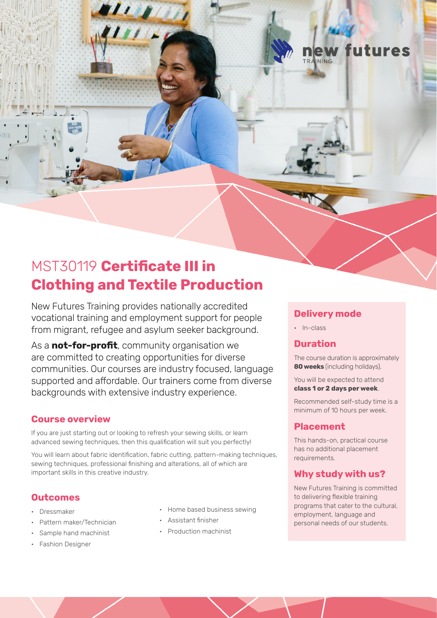

# MST30119 **Certificate III in Clothing and Textile Production**

New Futures Training provides nationally accredited vocational training and employment support for people from migrant, refugee and asylum seeker background.

As a **not-for-profit**, community organisation we are committed to creating opportunities for diverse communities. Our courses are industry focused, language supported and affordable. Our trainers come from diverse backgrounds with extensive industry experience.

### **Course overview**

If you are just starting out or looking to refresh your sewing skills, or learn advanced sewing techniques, then this qualification will suit you perfectly!

You will learn about fabric identification, fabric cutting, pattern-making techniques, sewing techniques, professional finishing and alterations, all of which are important skills in this creative industry.

### **Outcomes**

- Dressmaker
- Pattern maker/Technician
- Sample hand machinist
- Fashion Designer
- Home based business sewing
- Assistant finisher
- Production machinist

# **Delivery mode**

• In-class

# **Duration**

The course duration is approximately **80 weeks** (including holidays).

You will be expected to attend **class 1 or 2 days per week**.

Recommended self-study time is a minimum of 10 hours per week.

### **Placement**

This hands-on, practical course has no additional placement requirements.

# **Why study with us?**

New Futures Training is committed to delivering flexible training programs that cater to the cultural, employment, language and personal needs of our students.